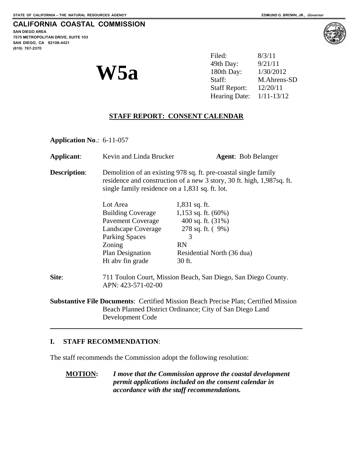**SAN DIEGO AREA 7575 METROPOLITAN DRIVE, SUITE 103 SAN DIEGO, CA 92108-4421 (619) 767-2370**

**W5a** 

| W5a | Filed:                     | 8/3/11      |
|-----|----------------------------|-------------|
|     | 49th Day:                  | 9/21/11     |
|     | 180th Day:                 | 1/30/2012   |
|     | Staff:                     | M.Ahrens-SD |
|     | Staff Report: $12/20/11$   |             |
|     | Hearing Date: $1/11-13/12$ |             |

## **STAFF REPORT: CONSENT CALENDAR**

**Application No**.: 6-11-057

| Applicant:          | Kevin and Linda Brucker                                                                                                                                                                      | <b>Agent:</b> Bob Belanger                                                                 |  |
|---------------------|----------------------------------------------------------------------------------------------------------------------------------------------------------------------------------------------|--------------------------------------------------------------------------------------------|--|
| <b>Description:</b> | Demolition of an existing 978 sq. ft. pre-coastal single family<br>residence and construction of a new 3 story, 30 ft. high, 1,987sq. ft.<br>single family residence on a 1,831 sq. ft. lot. |                                                                                            |  |
|                     | Lot Area                                                                                                                                                                                     | $1,831$ sq. ft.                                                                            |  |
|                     | <b>Building Coverage</b>                                                                                                                                                                     | 1,153 sq. ft. $(60\%)$                                                                     |  |
|                     | <b>Pavement Coverage</b>                                                                                                                                                                     | 400 sq. ft. $(31\%)$                                                                       |  |
|                     | Landscape Coverage                                                                                                                                                                           | 278 sq. ft. (9%)                                                                           |  |
|                     | <b>Parking Spaces</b>                                                                                                                                                                        | 3                                                                                          |  |
|                     | Zoning                                                                                                                                                                                       | <b>RN</b>                                                                                  |  |
|                     | Plan Designation                                                                                                                                                                             | Residential North (36 dua)                                                                 |  |
|                     | Ht aby fin grade                                                                                                                                                                             | 30 ft.                                                                                     |  |
| Site:               | 711 Toulon Court, Mission Beach, San Diego, San Diego County.<br>APN: 423-571-02-00                                                                                                          |                                                                                            |  |
|                     |                                                                                                                                                                                              | <b>Substantive File Documents: Certified Mission Beach Precise Plan; Certified Mission</b> |  |
|                     | Beach Planned District Ordinance; City of San Diego Land                                                                                                                                     |                                                                                            |  |
|                     | Development Code                                                                                                                                                                             |                                                                                            |  |
|                     |                                                                                                                                                                                              |                                                                                            |  |

## **I. STAFF RECOMMENDATION**:

 $\overline{a}$ 

The staff recommends the Commission adopt the following resolution:

**MOTION:** *I move that the Commission approve the coastal development permit applications included on the consent calendar in accordance with the staff recommendations.* 

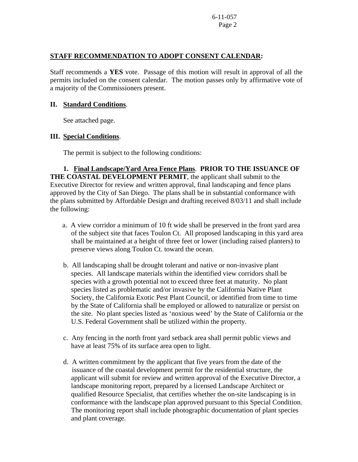## **STAFF RECOMMENDATION TO ADOPT CONSENT CALENDAR:**

Staff recommends a **YES** vote. Passage of this motion will result in approval of all the permits included on the consent calendar. The motion passes only by affirmative vote of a majority of the Commissioners present.

#### **II. Standard Conditions**.

See attached page.

## **III. Special Conditions**.

The permit is subject to the following conditions:

**1. Final Landscape/Yard Area Fence Plans**. **PRIOR TO THE ISSUANCE OF THE COASTAL DEVELOPMENT PERMIT**, the applicant shall submit to the Executive Director for review and written approval, final landscaping and fence plans approved by the City of San Diego. The plans shall be in substantial conformance with the plans submitted by Affordable Design and drafting received 8/03/11 and shall include the following:

- a. A view corridor a minimum of 10 ft wide shall be preserved in the front yard area of the subject site that faces Toulon Ct. All proposed landscaping in this yard area shall be maintained at a height of three feet or lower (including raised planters) to preserve views along Toulon Ct. toward the ocean.
- b. All landscaping shall be drought tolerant and native or non-invasive plant species. All landscape materials within the identified view corridors shall be species with a growth potential not to exceed three feet at maturity. No plant species listed as problematic and/or invasive by the California Native Plant Society, the California Exotic Pest Plant Council, or identified from time to time by the State of California shall be employed or allowed to naturalize or persist on the site. No plant species listed as 'noxious weed' by the State of California or the U.S. Federal Government shall be utilized within the property.
- c. Any fencing in the north front yard setback area shall permit public views and have at least 75% of its surface area open to light.
- d. A written commitment by the applicant that five years from the date of the issuance of the coastal development permit for the residential structure, the applicant will submit for review and written approval of the Executive Director, a landscape monitoring report, prepared by a licensed Landscape Architect or qualified Resource Specialist, that certifies whether the on-site landscaping is in conformance with the landscape plan approved pursuant to this Special Condition. The monitoring report shall include photographic documentation of plant species and plant coverage.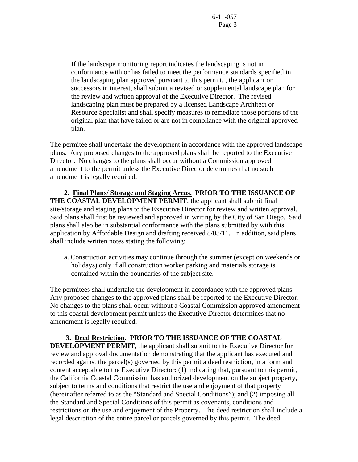If the landscape monitoring report indicates the landscaping is not in conformance with or has failed to meet the performance standards specified in the landscaping plan approved pursuant to this permit, , the applicant or successors in interest, shall submit a revised or supplemental landscape plan for the review and written approval of the Executive Director. The revised landscaping plan must be prepared by a licensed Landscape Architect or Resource Specialist and shall specify measures to remediate those portions of the original plan that have failed or are not in compliance with the original approved plan.

The permitee shall undertake the development in accordance with the approved landscape plans. Any proposed changes to the approved plans shall be reported to the Executive Director. No changes to the plans shall occur without a Commission approved amendment to the permit unless the Executive Director determines that no such amendment is legally required.

 **2. Final Plans/ Storage and Staging Areas. PRIOR TO THE ISSUANCE OF THE COASTAL DEVELOPMENT PERMIT**, the applicant shall submit final site/storage and staging plans to the Executive Director for review and written approval. Said plans shall first be reviewed and approved in writing by the City of San Diego. Said plans shall also be in substantial conformance with the plans submitted by with this application by Affordable Design and drafting received 8/03/11. In addition, said plans shall include written notes stating the following:

 a. Construction activities may continue through the summer (except on weekends or holidays) only if all construction worker parking and materials storage is contained within the boundaries of the subject site.

The permitees shall undertake the development in accordance with the approved plans. Any proposed changes to the approved plans shall be reported to the Executive Director. No changes to the plans shall occur without a Coastal Commission approved amendment to this coastal development permit unless the Executive Director determines that no amendment is legally required.

 **3. Deed Restriction. PRIOR TO THE ISSUANCE OF THE COASTAL DEVELOPMENT PERMIT**, the applicant shall submit to the Executive Director for review and approval documentation demonstrating that the applicant has executed and recorded against the parcel(s) governed by this permit a deed restriction, in a form and content acceptable to the Executive Director: (1) indicating that, pursuant to this permit, the California Coastal Commission has authorized development on the subject property, subject to terms and conditions that restrict the use and enjoyment of that property (hereinafter referred to as the "Standard and Special Conditions"); and (2) imposing all the Standard and Special Conditions of this permit as covenants, conditions and restrictions on the use and enjoyment of the Property. The deed restriction shall include a legal description of the entire parcel or parcels governed by this permit. The deed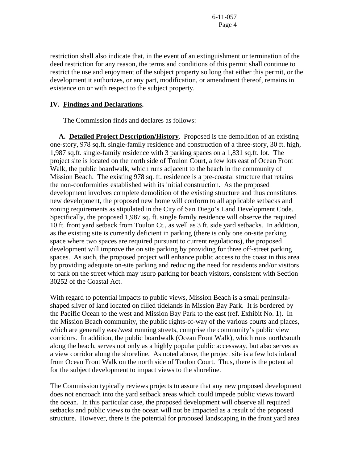restriction shall also indicate that, in the event of an extinguishment or termination of the deed restriction for any reason, the terms and conditions of this permit shall continue to restrict the use and enjoyment of the subject property so long that either this permit, or the development it authorizes, or any part, modification, or amendment thereof, remains in existence on or with respect to the subject property.

## **IV. Findings and Declarations.**

The Commission finds and declares as follows:

 **A. Detailed Project Description/History**. Proposed is the demolition of an existing one-story, 978 sq.ft. single-family residence and construction of a three-story, 30 ft. high, 1,987 sq.ft. single-family residence with 3 parking spaces on a 1,831 sq.ft. lot. The project site is located on the north side of Toulon Court, a few lots east of Ocean Front Walk, the public boardwalk, which runs adjacent to the beach in the community of Mission Beach. The existing 978 sq. ft. residence is a pre-coastal structure that retains the non-conformities established with its initial construction. As the proposed development involves complete demolition of the existing structure and thus constitutes new development, the proposed new home will conform to all applicable setbacks and zoning requirements as stipulated in the City of San Diego's Land Development Code. Specifically, the proposed 1,987 sq. ft. single family residence will observe the required 10 ft. front yard setback from Toulon Ct., as well as 3 ft. side yard setbacks. In addition, as the existing site is currently deficient in parking (there is only one on-site parking space where two spaces are required pursuant to current regulations), the proposed development will improve the on site parking by providing for three off-street parking spaces. As such, the proposed project will enhance public access to the coast in this area by providing adequate on-site parking and reducing the need for residents and/or visitors to park on the street which may usurp parking for beach visitors, consistent with Section 30252 of the Coastal Act.

With regard to potential impacts to public views, Mission Beach is a small peninsulashaped sliver of land located on filled tidelands in Mission Bay Park. It is bordered by the Pacific Ocean to the west and Mission Bay Park to the east (ref. Exhibit No. 1). In the Mission Beach community, the public rights-of-way of the various courts and places, which are generally east/west running streets, comprise the community's public view corridors. In addition, the public boardwalk (Ocean Front Walk), which runs north/south along the beach, serves not only as a highly popular public accessway, but also serves as a view corridor along the shoreline. As noted above, the project site is a few lots inland from Ocean Front Walk on the north side of Toulon Court. Thus, there is the potential for the subject development to impact views to the shoreline.

The Commission typically reviews projects to assure that any new proposed development does not encroach into the yard setback areas which could impede public views toward the ocean. In this particular case, the proposed development will observe all required setbacks and public views to the ocean will not be impacted as a result of the proposed structure. However, there is the potential for proposed landscaping in the front yard area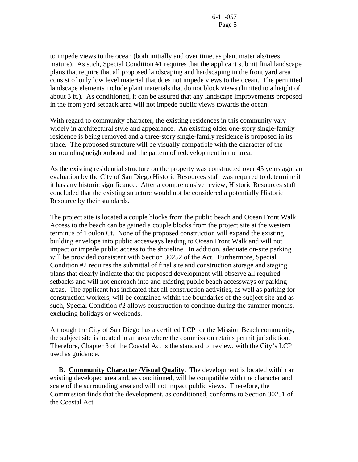to impede views to the ocean (both initially and over time, as plant materials/trees mature). As such, Special Condition #1 requires that the applicant submit final landscape plans that require that all proposed landscaping and hardscaping in the front yard area consist of only low level material that does not impede views to the ocean. The permitted landscape elements include plant materials that do not block views (limited to a height of about 3 ft.). As conditioned, it can be assured that any landscape improvements proposed in the front yard setback area will not impede public views towards the ocean.

With regard to community character, the existing residences in this community vary widely in architectural style and appearance. An existing older one-story single-family residence is being removed and a three-story single-family residence is proposed in its place. The proposed structure will be visually compatible with the character of the surrounding neighborhood and the pattern of redevelopment in the area.

As the existing residential structure on the property was constructed over 45 years ago, an evaluation by the City of San Diego Historic Resources staff was required to determine if it has any historic significance. After a comprehensive review, Historic Resources staff concluded that the existing structure would not be considered a potentially Historic Resource by their standards.

The project site is located a couple blocks from the public beach and Ocean Front Walk. Access to the beach can be gained a couple blocks from the project site at the western terminus of Toulon Ct. None of the proposed construction will expand the existing building envelope into public accesways leading to Ocean Front Walk and will not impact or impede public access to the shoreline. In addition, adequate on-site parking will be provided consistent with Section 30252 of the Act. Furthermore, Special Condition #2 requires the submittal of final site and construction storage and staging plans that clearly indicate that the proposed development will observe all required setbacks and will not encroach into and existing public beach accessways or parking areas. The applicant has indicated that all construction activities, as well as parking for construction workers, will be contained within the boundaries of the subject site and as such, Special Condition #2 allows construction to continue during the summer months, excluding holidays or weekends.

Although the City of San Diego has a certified LCP for the Mission Beach community, the subject site is located in an area where the commission retains permit jurisdiction. Therefore, Chapter 3 of the Coastal Act is the standard of review, with the City's LCP used as guidance.

 **B. Community Character /Visual Quality.** The development is located within an existing developed area and, as conditioned, will be compatible with the character and scale of the surrounding area and will not impact public views. Therefore, the Commission finds that the development, as conditioned, conforms to Section 30251 of the Coastal Act.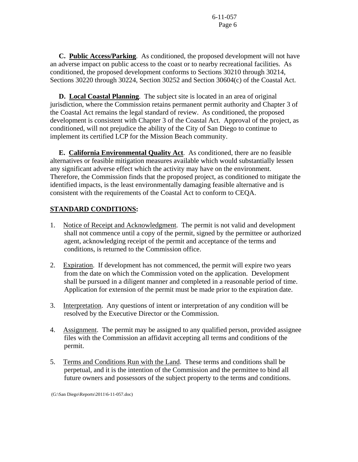**C. Public Access/Parking**. As conditioned, the proposed development will not have an adverse impact on public access to the coast or to nearby recreational facilities. As conditioned, the proposed development conforms to Sections 30210 through 30214, Sections 30220 through 30224, Section 30252 and Section 30604(c) of the Coastal Act.

 **D. Local Coastal Planning**. The subject site is located in an area of original jurisdiction, where the Commission retains permanent permit authority and Chapter 3 of the Coastal Act remains the legal standard of review. As conditioned, the proposed development is consistent with Chapter 3 of the Coastal Act. Approval of the project, as conditioned, will not prejudice the ability of the City of San Diego to continue to implement its certified LCP for the Mission Beach community.

 **E. California Environmental Quality Act**. As conditioned, there are no feasible alternatives or feasible mitigation measures available which would substantially lessen any significant adverse effect which the activity may have on the environment. Therefore, the Commission finds that the proposed project, as conditioned to mitigate the identified impacts, is the least environmentally damaging feasible alternative and is consistent with the requirements of the Coastal Act to conform to CEQA.

# **STANDARD CONDITIONS:**

- 1. Notice of Receipt and Acknowledgment. The permit is not valid and development shall not commence until a copy of the permit, signed by the permittee or authorized agent, acknowledging receipt of the permit and acceptance of the terms and conditions, is returned to the Commission office.
- 2. Expiration. If development has not commenced, the permit will expire two years from the date on which the Commission voted on the application. Development shall be pursued in a diligent manner and completed in a reasonable period of time. Application for extension of the permit must be made prior to the expiration date.
- 3. Interpretation. Any questions of intent or interpretation of any condition will be resolved by the Executive Director or the Commission.
- 4. Assignment. The permit may be assigned to any qualified person, provided assignee files with the Commission an affidavit accepting all terms and conditions of the permit.
- 5. Terms and Conditions Run with the Land. These terms and conditions shall be perpetual, and it is the intention of the Commission and the permittee to bind all future owners and possessors of the subject property to the terms and conditions.

(G:\San Diego\Reports\2011\6-11-057.doc)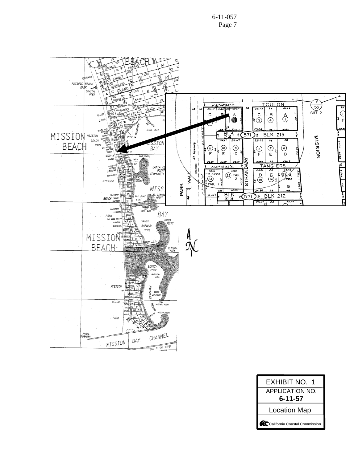